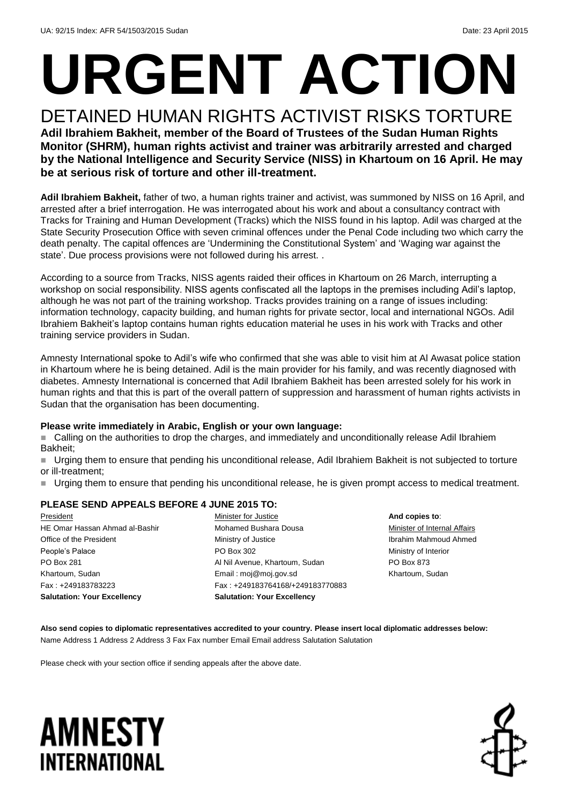# **URGENT ACTION**

DETAINED HUMAN RIGHTS ACTIVIST RISKS TORTURE **Adil Ibrahiem Bakheit, member of the Board of Trustees of the Sudan Human Rights Monitor (SHRM), human rights activist and trainer was arbitrarily arrested and charged by the National Intelligence and Security Service (NISS) in Khartoum on 16 April. He may be at serious risk of torture and other ill-treatment.**

**Adil Ibrahiem Bakheit,** father of two, a human rights trainer and activist, was summoned by NISS on 16 April, and arrested after a brief interrogation. He was interrogated about his work and about a consultancy contract with Tracks for Training and Human Development (Tracks) which the NISS found in his laptop. Adil was charged at the State Security Prosecution Office with seven criminal offences under the Penal Code including two which carry the death penalty. The capital offences are 'Undermining the Constitutional System' and 'Waging war against the state'. Due process provisions were not followed during his arrest. .

According to a source from Tracks, NISS agents raided their offices in Khartoum on 26 March, interrupting a workshop on social responsibility. NISS agents confiscated all the laptops in the premises including Adil's laptop, although he was not part of the training workshop. Tracks provides training on a range of issues including: information technology, capacity building, and human rights for private sector, local and international NGOs. Adil Ibrahiem Bakheit's laptop contains human rights education material he uses in his work with Tracks and other training service providers in Sudan.

Amnesty International spoke to Adil's wife who confirmed that she was able to visit him at Al Awasat police station in Khartoum where he is being detained. Adil is the main provider for his family, and was recently diagnosed with diabetes. Amnesty International is concerned that Adil Ibrahiem Bakheit has been arrested solely for his work in human rights and that this is part of the overall pattern of suppression and harassment of human rights activists in Sudan that the organisation has been documenting.

#### **Please write immediately in Arabic, English or your own language:**

 Calling on the authorities to drop the charges, and immediately and unconditionally release Adil Ibrahiem Bakheit;

 Urging them to ensure that pending his unconditional release, Adil Ibrahiem Bakheit is not subjected to torture or ill-treatment;

Urging them to ensure that pending his unconditional release, he is given prompt access to medical treatment.

### **PLEASE SEND APPEALS BEFORE 4 JUNE 2015 TO:**

President HE Omar Hassan Ahmad al-Bashir Office of the President People's Palace PO Box 281 Khartoum, Sudan Fax : +249183783223 **Salutation: Your Excellency**

Minister for Justice Mohamed Bushara Dousa Ministry of Justice PO Box 302 Al Nil Avenue, Khartoum, Sudan Email : moj@moj.gov.sd Fax : +249183764168/+249183770883 **Salutation: Your Excellency**

**And copies to**: Minister of Internal Affairs Ibrahim Mahmoud Ahmed Ministry of Interior PO Box 873 Khartoum, Sudan

**Also send copies to diplomatic representatives accredited to your country. Please insert local diplomatic addresses below:** Name Address 1 Address 2 Address 3 Fax Fax number Email Email address Salutation Salutation

Please check with your section office if sending appeals after the above date.